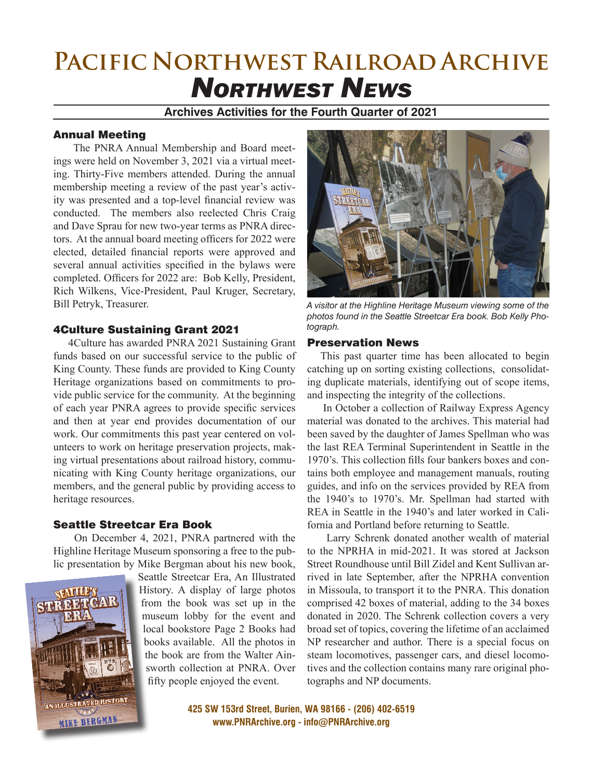# **Pacific Northwest Railroad Archive** *Northwest News*

### **Archives Activities for the Fourth Quarter of 2021**

#### Annual Meeting

 The PNRA Annual Membership and Board meetings were held on November 3, 2021 via a virtual meeting. Thirty-Five members attended. During the annual membership meeting a review of the past year's activity was presented and a top-level financial review was conducted. The members also reelected Chris Craig and Dave Sprau for new two-year terms as PNRA directors. At the annual board meeting officers for 2022 were elected, detailed financial reports were approved and several annual activities specified in the bylaws were completed. Officers for 2022 are: Bob Kelly, President, Rich Wilkens, Vice-President, Paul Kruger, Secretary, Bill Petryk, Treasurer.

#### 4Culture Sustaining Grant 2021

 4Culture has awarded PNRA 2021 Sustaining Grant funds based on our successful service to the public of King County. These funds are provided to King County Heritage organizations based on commitments to provide public service for the community. At the beginning of each year PNRA agrees to provide specific services and then at year end provides documentation of our work. Our commitments this past year centered on volunteers to work on heritage preservation projects, making virtual presentations about railroad history, communicating with King County heritage organizations, our members, and the general public by providing access to heritage resources.

#### Seattle Streetcar Era Book

 On December 4, 2021, PNRA partnered with the Highline Heritage Museum sponsoring a free to the public presentation by Mike Bergman about his new book,



Seattle Streetcar Era, An Illustrated History. A display of large photos from the book was set up in the museum lobby for the event and local bookstore Page 2 Books had books available. All the photos in the book are from the Walter Ainsworth collection at PNRA. Over fifty people enjoyed the event.



*A visitor at the Highline Heritage Museum viewing some of the photos found in the Seattle Streetcar Era book. Bob Kelly Photograph.*

#### Preservation News

 This past quarter time has been allocated to begin catching up on sorting existing collections, consolidating duplicate materials, identifying out of scope items, and inspecting the integrity of the collections.

 In October a collection of Railway Express Agency material was donated to the archives. This material had been saved by the daughter of James Spellman who was the last REA Terminal Superintendent in Seattle in the 1970's. This collection fills four bankers boxes and contains both employee and management manuals, routing guides, and info on the services provided by REA from the 1940's to 1970's. Mr. Spellman had started with REA in Seattle in the 1940's and later worked in California and Portland before returning to Seattle.

 Larry Schrenk donated another wealth of material to the NPRHA in mid-2021. It was stored at Jackson Street Roundhouse until Bill Zidel and Kent Sullivan arrived in late September, after the NPRHA convention in Missoula, to transport it to the PNRA. This donation comprised 42 boxes of material, adding to the 34 boxes donated in 2020. The Schrenk collection covers a very broad set of topics, covering the lifetime of an acclaimed NP researcher and author. There is a special focus on steam locomotives, passenger cars, and diesel locomotives and the collection contains many rare original photographs and NP documents.

**425 SW 153rd Street, Burien, WA 98166 - (206) 402-6519 www.PNRArchive.org - info@PNRArchive.org**